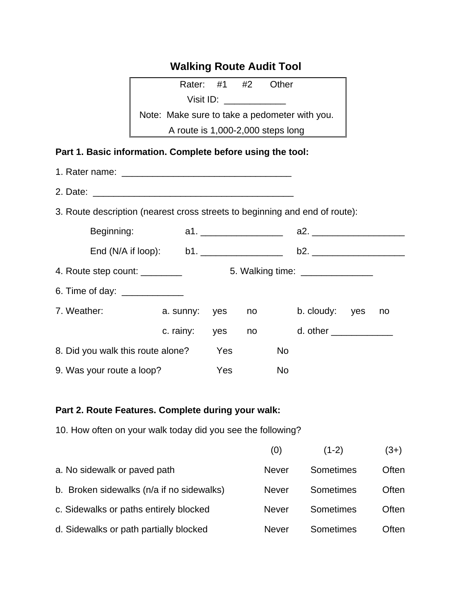# **Walking Route Audit Tool**

| Rater: #1 #2                                  |  |  | Other                             |  |  |  |
|-----------------------------------------------|--|--|-----------------------------------|--|--|--|
| Visit ID:                                     |  |  |                                   |  |  |  |
| Note: Make sure to take a pedometer with you. |  |  |                                   |  |  |  |
|                                               |  |  | A route is 1,000-2,000 steps long |  |  |  |

### **Part 1. Basic information. Complete before using the tool:**

| 3. Route description (nearest cross streets to beginning and end of route): |               |            |                                                                                                                                                                                                                                  |                |    |  |
|-----------------------------------------------------------------------------|---------------|------------|----------------------------------------------------------------------------------------------------------------------------------------------------------------------------------------------------------------------------------|----------------|----|--|
|                                                                             |               |            |                                                                                                                                                                                                                                  |                |    |  |
|                                                                             |               |            |                                                                                                                                                                                                                                  |                |    |  |
|                                                                             |               |            |                                                                                                                                                                                                                                  |                |    |  |
| 6. Time of day: _____________                                               |               |            |                                                                                                                                                                                                                                  |                |    |  |
| 7. Weather:                                                                 | a. sunny: yes |            | no a control de la contradición de la contradición de la contradición de la contradición de la contradición de<br>Contradición de la contradición de la contradición de la contradición de la contradición de la contradición de | b. cloudy: yes | no |  |
|                                                                             | c. rainy: yes |            |                                                                                                                                                                                                                                  |                |    |  |
| 8. Did you walk this route alone?                                           |               | Yes        | No                                                                                                                                                                                                                               |                |    |  |
| 9. Was your route a loop?                                                   |               | <b>Yes</b> | <b>No</b>                                                                                                                                                                                                                        |                |    |  |

#### **Part 2. Route Features. Complete during your walk:**

10. How often on your walk today did you see the following?

|                                           | (0)          | $(1-2)$   | $(3+)$ |
|-------------------------------------------|--------------|-----------|--------|
| a. No sidewalk or paved path              | <b>Never</b> | Sometimes | Often  |
| b. Broken sidewalks (n/a if no sidewalks) | <b>Never</b> | Sometimes | Often  |
| c. Sidewalks or paths entirely blocked    | <b>Never</b> | Sometimes | Often  |
| d. Sidewalks or path partially blocked    | <b>Never</b> | Sometimes | Often  |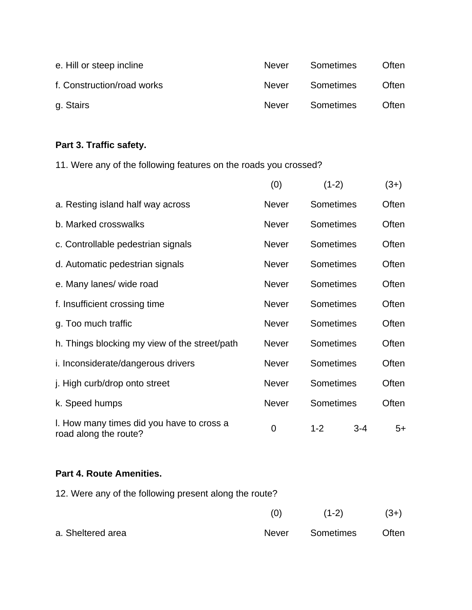| e. Hill or steep incline   | Never        | Sometimes | <b>Often</b> |
|----------------------------|--------------|-----------|--------------|
| f. Construction/road works | <b>Never</b> | Sometimes | <b>Often</b> |
| g. Stairs                  | <b>Never</b> | Sometimes | Often        |

## **Part 3. Traffic safety.**

11. Were any of the following features on the roads you crossed?

|                                                                    | (0)          | $(1-2)$   |     | $(3+)$ |
|--------------------------------------------------------------------|--------------|-----------|-----|--------|
| a. Resting island half way across                                  | <b>Never</b> | Sometimes |     | Often  |
| b. Marked crosswalks                                               | <b>Never</b> | Sometimes |     | Often  |
| c. Controllable pedestrian signals                                 | <b>Never</b> | Sometimes |     | Often  |
| d. Automatic pedestrian signals                                    | <b>Never</b> | Sometimes |     | Often  |
| e. Many lanes/ wide road                                           | <b>Never</b> | Sometimes |     | Often  |
| f. Insufficient crossing time                                      | <b>Never</b> | Sometimes |     | Often  |
| g. Too much traffic                                                | <b>Never</b> | Sometimes |     | Often  |
| h. Things blocking my view of the street/path                      | Never        | Sometimes |     | Often  |
| i. Inconsiderate/dangerous drivers                                 | <b>Never</b> | Sometimes |     | Often  |
| j. High curb/drop onto street                                      | <b>Never</b> | Sometimes |     | Often  |
| k. Speed humps                                                     | <b>Never</b> | Sometimes |     | Often  |
| I. How many times did you have to cross a<br>road along the route? | $\mathbf 0$  | $1 - 2$   | 3-4 | $5+$   |

#### **Part 4. Route Amenities.**

| 12. Were any of the following present along the route? |       |           |        |
|--------------------------------------------------------|-------|-----------|--------|
|                                                        | (0)   | $(1-2)$   | $(3+)$ |
| a. Sheltered area                                      | Never | Sometimes | Often  |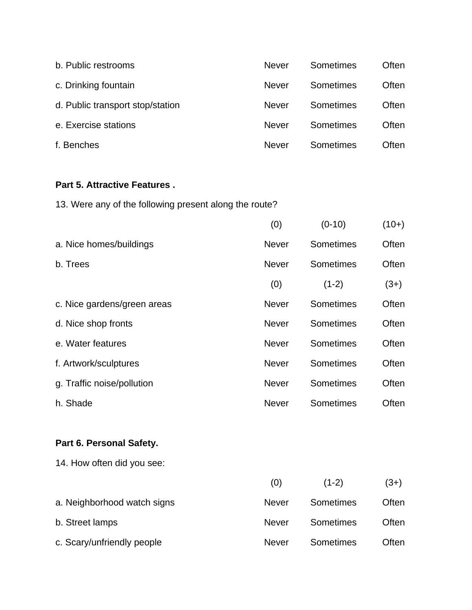| b. Public restrooms              | <b>Never</b> | Sometimes | Often |
|----------------------------------|--------------|-----------|-------|
| c. Drinking fountain             | <b>Never</b> | Sometimes | Often |
| d. Public transport stop/station | <b>Never</b> | Sometimes | Often |
| e. Exercise stations             | <b>Never</b> | Sometimes | Often |
| f. Benches                       | <b>Never</b> | Sometimes | Often |

## **Part 5. Attractive Features .**

13. Were any of the following present along the route?

|                             | (0)          | $(0-10)$  | $(10+)$ |
|-----------------------------|--------------|-----------|---------|
| a. Nice homes/buildings     | <b>Never</b> | Sometimes | Often   |
| b. Trees                    | <b>Never</b> | Sometimes | Often   |
|                             | (0)          | $(1-2)$   | $(3+)$  |
| c. Nice gardens/green areas | <b>Never</b> | Sometimes | Often   |
| d. Nice shop fronts         | <b>Never</b> | Sometimes | Often   |
| e. Water features           | <b>Never</b> | Sometimes | Often   |
| f. Artwork/sculptures       | <b>Never</b> | Sometimes | Often   |
| g. Traffic noise/pollution  | <b>Never</b> | Sometimes | Often   |
| h. Shade                    | <b>Never</b> | Sometimes | Often   |
|                             |              |           |         |

# **Part 6. Personal Safety.**

14. How often did you see:

|                             | (0)          | $(1-2)$          | (3+)  |
|-----------------------------|--------------|------------------|-------|
| a. Neighborhood watch signs | <b>Never</b> | <b>Sometimes</b> | Often |
| b. Street lamps             | <b>Never</b> | <b>Sometimes</b> | Often |
| c. Scary/unfriendly people  | <b>Never</b> | Sometimes        | Often |